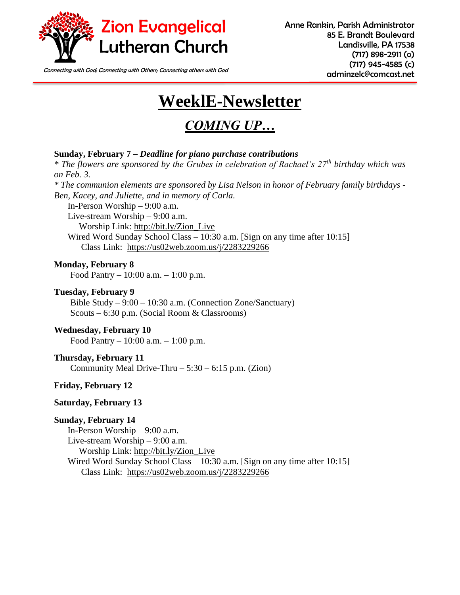

Connecting with God; Connecting with Others; Connecting others with God **connecting of the Connecting of the Connecting of the Connecting of the Connecting of the Connecting of the Connecting of the Connecting of the Conne** 

# **WeeklE-Newsletter**

# *COMING UP…*

#### **Sunday, February 7 –** *Deadline for piano purchase contributions*

*\* The flowers are sponsored by the Grubes in celebration of Rachael's 27th birthday which was on Feb. 3. \* The communion elements are sponsored by Lisa Nelson in honor of February family birthdays -*

*Ben, Kacey, and Juliette, and in memory of Carla.* 

In-Person Worship – 9:00 a.m.

Live-stream Worship – 9:00 a.m.

Worship Link: [http://bit.ly/Zion\\_Live](http://bit.ly/Zion_Live)

Wired Word Sunday School Class – 10:30 a.m. [Sign on any time after 10:15] Class Link: <https://us02web.zoom.us/j/2283229266>

**Monday, February 8**

Food Pantry – 10:00 a.m. – 1:00 p.m.

#### **Tuesday, February 9**

Bible Study – 9:00 – 10:30 a.m. (Connection Zone/Sanctuary) Scouts – 6:30 p.m. (Social Room & Classrooms)

#### **Wednesday, February 10**

Food Pantry – 10:00 a.m. – 1:00 p.m.

#### **Thursday, February 11**

Community Meal Drive-Thru  $-5:30 - 6:15$  p.m. (Zion)

#### **Friday, February 12**

#### **Saturday, February 13**

#### **Sunday, February 14**

In-Person Worship – 9:00 a.m. Live-stream Worship – 9:00 a.m. Worship Link: [http://bit.ly/Zion\\_Live](http://bit.ly/Zion_Live) Wired Word Sunday School Class – 10:30 a.m. [Sign on any time after 10:15] Class Link: <https://us02web.zoom.us/j/2283229266>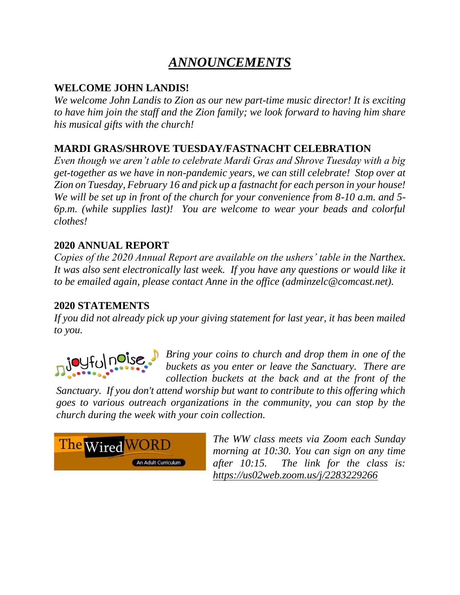# *ANNOUNCEMENTS*

### **WELCOME JOHN LANDIS!**

*We welcome John Landis to Zion as our new part-time music director! It is exciting to have him join the staff and the Zion family; we look forward to having him share his musical gifts with the church!* 

### **MARDI GRAS/SHROVE TUESDAY/FASTNACHT CELEBRATION**

*Even though we aren't able to celebrate Mardi Gras and Shrove Tuesday with a big get-together as we have in non-pandemic years, we can still celebrate! Stop over at Zion on Tuesday, February 16 and pick up a fastnacht for each person in your house! We will be set up in front of the church for your convenience from 8-10 a.m. and 5- 6p.m. (while supplies last)! You are welcome to wear your beads and colorful clothes!* 

### **2020 ANNUAL REPORT**

*Copies of the 2020 Annual Report are available on the ushers' table in the Narthex. It was also sent electronically last week. If you have any questions or would like it to be emailed again, please contact Anne in the office (adminzelc@comcast.net).*

### **2020 STATEMENTS**

*If you did not already pick up your giving statement for last year, it has been mailed to you.* 



*Bring your coins to church and drop them in one of the buckets as you enter or leave the Sanctuary. There are collection buckets at the back and at the front of the* 

*Sanctuary. If you don't attend worship but want to contribute to this offering which goes to various outreach organizations in the community, you can stop by the church during the week with your coin collection.*



*The WW class meets via Zoom each Sunday morning at 10:30. You can sign on any time after 10:15. The link for the class is: <https://us02web.zoom.us/j/2283229266>*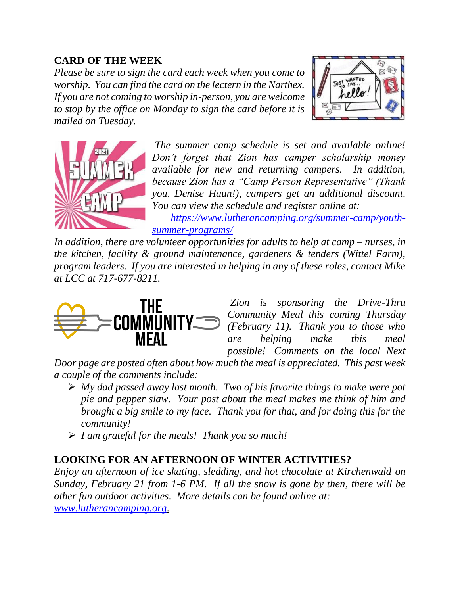### **CARD OF THE WEEK**

*Please be sure to sign the card each week when you come to worship. You can find the card on the lectern in the Narthex. If you are not coming to worship in-person, you are welcome to stop by the office on Monday to sign the card before it is mailed on Tuesday.* 





*The summer camp schedule is set and available online! Don't forget that Zion has camper scholarship money available for new and returning campers. In addition, because Zion has a "Camp Person Representative" (Thank you, Denise Haun!), campers get an additional discount. You can view the schedule and register online at:* 

*[https://www.lutherancamping.org/summer-camp/youth](https://www.lutherancamping.org/summer-camp/youth-summer-programs/)[summer-programs/](https://www.lutherancamping.org/summer-camp/youth-summer-programs/)*

*In addition, there are volunteer opportunities for adults to help at camp – nurses, in the kitchen, facility & ground maintenance, gardeners & tenders (Wittel Farm), program leaders. If you are interested in helping in any of these roles, contact Mike at LCC at 717-677-8211.* 



*Zion is sponsoring the Drive-Thru Community Meal this coming Thursday (February 11). Thank you to those who are helping make this meal possible! Comments on the local Next* 

*Door page are posted often about how much the meal is appreciated. This past week a couple of the comments include:*

- ➢ *My dad passed away last month. Two of his favorite things to make were pot pie and pepper slaw. Your post about the meal makes me think of him and brought a big smile to my face. Thank you for that, and for doing this for the community!*
- ➢ *I am grateful for the meals! Thank you so much!*

### **LOOKING FOR AN AFTERNOON OF WINTER ACTIVITIES?**

*Enjoy an afternoon of ice skating, sledding, and hot chocolate at Kirchenwald on Sunday, February 21 from 1-6 PM. If all the snow is gone by then, there will be other fun outdoor activities. More details can be found online at: [www.lutherancamping.org.](http://www.lutherancamping.org/)*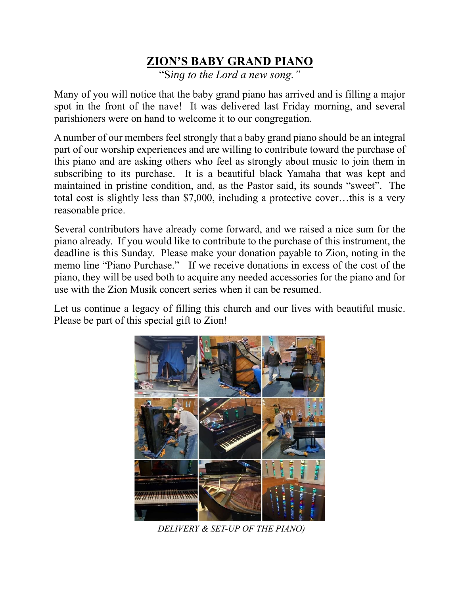# **ZION'S BABY GRAND PIANO**

"S*ing to the Lord a new song."*

Many of you will notice that the baby grand piano has arrived and is filling a major spot in the front of the nave! It was delivered last Friday morning, and several parishioners were on hand to welcome it to our congregation.

A number of our members feel strongly that a baby grand piano should be an integral part of our worship experiences and are willing to contribute toward the purchase of this piano and are asking others who feel as strongly about music to join them in subscribing to its purchase. It is a beautiful black Yamaha that was kept and maintained in pristine condition, and, as the Pastor said, its sounds "sweet". The total cost is slightly less than \$7,000, including a protective cover…this is a very reasonable price.

Several contributors have already come forward, and we raised a nice sum for the piano already. If you would like to contribute to the purchase of this instrument, the deadline is this Sunday. Please make your donation payable to Zion, noting in the memo line "Piano Purchase." If we receive donations in excess of the cost of the piano, they will be used both to acquire any needed accessories for the piano and for use with the Zion Musik concert series when it can be resumed.

Let us continue a legacy of filling this church and our lives with beautiful music. Please be part of this special gift to Zion!



 *DELIVERY & SET-UP OF THE PIANO)*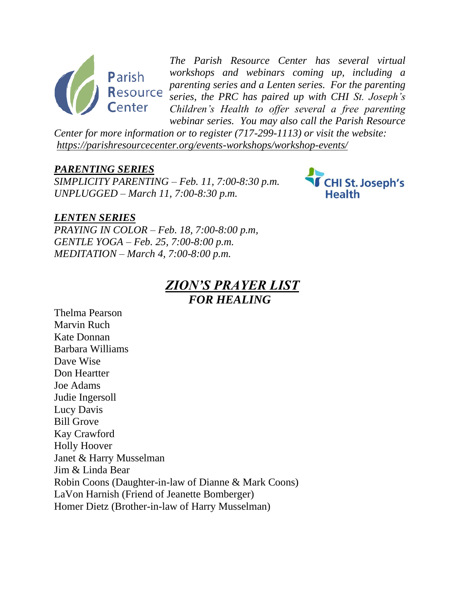

*The Parish Resource Center has several virtual workshops and webinars coming up, including a parenting series and a Lenten series. For the parenting series, the PRC has paired up with CHI St. Joseph's Children's Health to offer several a free parenting webinar series. You may also call the Parish Resource* 

*Center for more information or to register (717-299-1113) or visit the website: <https://parishresourcecenter.org/events-workshops/workshop-events/>*

#### *PARENTING SERIES*

*SIMPLICITY PARENTING – Feb. 11, 7:00-8:30 p.m. UNPLUGGED – March 11, 7:00-8:30 p.m.*



#### *LENTEN SERIES*

*PRAYING IN COLOR – Feb. 18, 7:00-8:00 p.m, GENTLE YOGA – Feb. 25, 7:00-8:00 p.m. MEDITATION – March 4, 7:00-8:00 p.m.*

### *ZION'S PRAYER LIST FOR HEALING*

Thelma Pearson Marvin Ruch Kate Donnan Barbara Williams Dave Wise Don Heartter Joe Adams Judie Ingersoll Lucy Davis Bill Grove Kay Crawford Holly Hoover Janet & Harry Musselman Jim & Linda Bear Robin Coons (Daughter-in-law of Dianne & Mark Coons) LaVon Harnish (Friend of Jeanette Bomberger) Homer Dietz (Brother-in-law of Harry Musselman)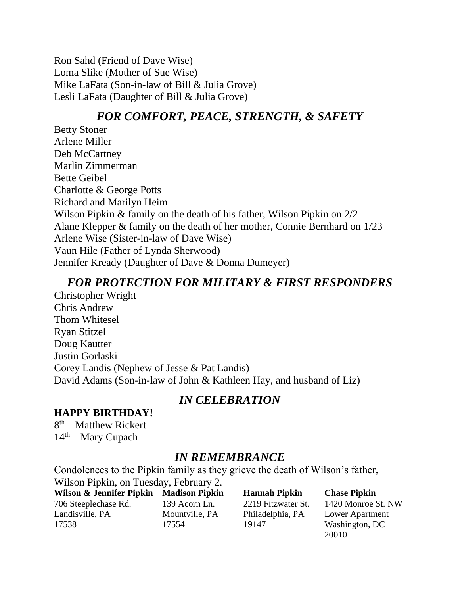Ron Sahd (Friend of Dave Wise) Loma Slike (Mother of Sue Wise) Mike LaFata (Son-in-law of Bill & Julia Grove) Lesli LaFata (Daughter of Bill & Julia Grove)

### *FOR COMFORT, PEACE, STRENGTH, & SAFETY*

Betty Stoner Arlene Miller Deb McCartney Marlin Zimmerman Bette Geibel Charlotte & George Potts Richard and Marilyn Heim Wilson Pipkin & family on the death of his father, Wilson Pipkin on 2/2 Alane Klepper & family on the death of her mother, Connie Bernhard on 1/23 Arlene Wise (Sister-in-law of Dave Wise) Vaun Hile (Father of Lynda Sherwood) Jennifer Kready (Daughter of Dave & Donna Dumeyer)

### *FOR PROTECTION FOR MILITARY & FIRST RESPONDERS*

Christopher Wright Chris Andrew Thom Whitesel Ryan Stitzel Doug Kautter Justin Gorlaski Corey Landis (Nephew of Jesse & Pat Landis) David Adams (Son-in-law of John & Kathleen Hay, and husband of Liz)

### *IN CELEBRATION*

### **HAPPY BIRTHDAY!**

8<sup>th</sup> – Matthew Rickert  $14<sup>th</sup>$  – Mary Cupach

### *IN REMEMBRANCE*

Condolences to the Pipkin family as they grieve the death of Wilson's father, Wilson Pipkin, on Tuesday, February 2.

**Wilson & Jennifer Pipkin Madison Pipkin Hannah Pipkin Chase Pipkin**  706 Steeplechase Rd. 139 Acorn Ln. 2219 Fitzwater St. 1420 Monroe St. NW Landisville, PA Mountville, PA Philadelphia, PA Lower Apartment 17538 17554 19147 Washington, DC

20010